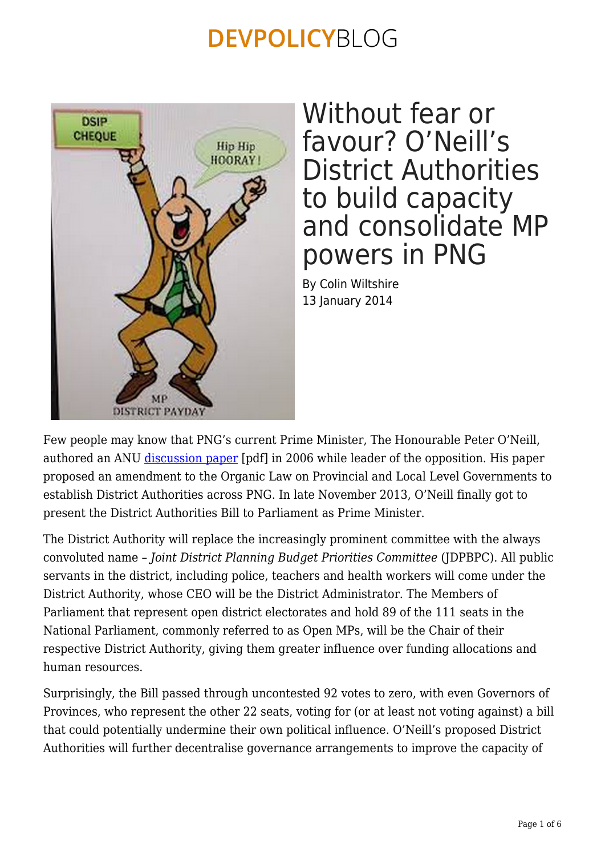

Without fear or favour? O'Neill's District Authorities to build capacity and consolidate MP powers in PNG

By Colin Wiltshire 13 January 2014

Few people may know that PNG's current Prime Minister, The Honourable Peter O'Neill, authored an ANU [discussion paper](https://devpolicy.org/pdf/blog/Peter-O-Neil-District-Authorities-Paper-ANU-SSGM-2006.pdf) [pdf] in 2006 while leader of the opposition. His paper proposed an amendment to the Organic Law on Provincial and Local Level Governments to establish District Authorities across PNG. In late November 2013, O'Neill finally got to present the District Authorities Bill to Parliament as Prime Minister.

The District Authority will replace the increasingly prominent committee with the always convoluted name – *Joint District Planning Budget Priorities Committee* (JDPBPC). All public servants in the district, including police, teachers and health workers will come under the District Authority, whose CEO will be the District Administrator. The Members of Parliament that represent open district electorates and hold 89 of the 111 seats in the National Parliament, commonly referred to as Open MPs, will be the Chair of their respective District Authority, giving them greater influence over funding allocations and human resources.

Surprisingly, the Bill passed through uncontested 92 votes to zero, with even Governors of Provinces, who represent the other 22 seats, voting for (or at least not voting against) a bill that could potentially undermine their own political influence. O'Neill's proposed District Authorities will further decentralise governance arrangements to improve the capacity of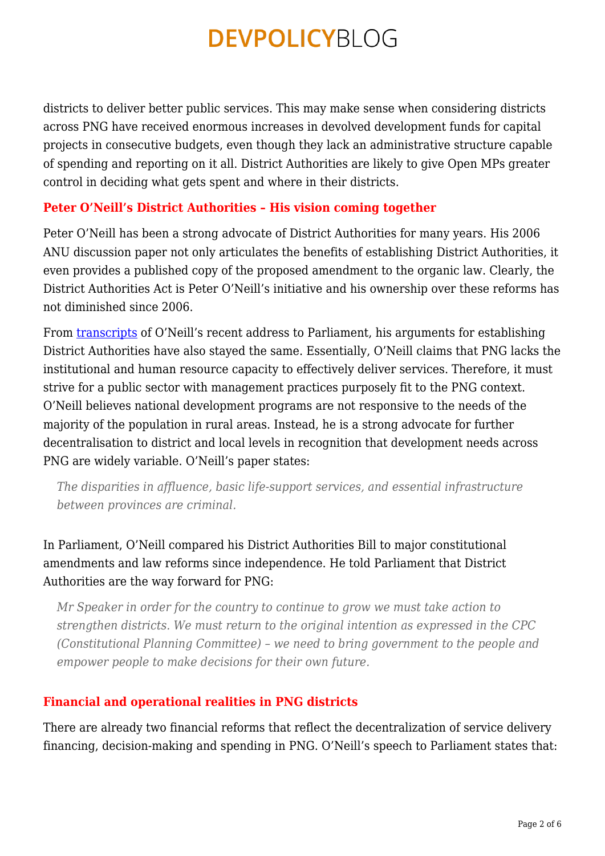districts to deliver better public services. This may make sense when considering districts across PNG have received enormous increases in devolved development funds for capital projects in consecutive budgets, even though they lack an administrative structure capable of spending and reporting on it all. District Authorities are likely to give Open MPs greater control in deciding what gets spent and where in their districts.

#### **Peter O'Neill's District Authorities – His vision coming together**

Peter O'Neill has been a strong advocate of District Authorities for many years. His 2006 ANU discussion paper not only articulates the benefits of establishing District Authorities, it even provides a published copy of the proposed amendment to the organic law. Clearly, the District Authorities Act is Peter O'Neill's initiative and his ownership over these reforms has not diminished since 2006.

From [transcripts](http://www.pngperspective.com/news/district-development-authorities-to-replace-jdbpc-/) of O'Neill's recent address to Parliament, his arguments for establishing District Authorities have also stayed the same. Essentially, O'Neill claims that PNG lacks the institutional and human resource capacity to effectively deliver services. Therefore, it must strive for a public sector with management practices purposely fit to the PNG context. O'Neill believes national development programs are not responsive to the needs of the majority of the population in rural areas. Instead, he is a strong advocate for further decentralisation to district and local levels in recognition that development needs across PNG are widely variable. O'Neill's paper states:

*The disparities in affluence, basic life-support services, and essential infrastructure between provinces are criminal.*

### In Parliament, O'Neill compared his District Authorities Bill to major constitutional amendments and law reforms since independence. He told Parliament that District Authorities are the way forward for PNG:

*Mr Speaker in order for the country to continue to grow we must take action to strengthen districts. We must return to the original intention as expressed in the CPC (Constitutional Planning Committee) – we need to bring government to the people and empower people to make decisions for their own future.*

#### **Financial and operational realities in PNG districts**

There are already two financial reforms that reflect the decentralization of service delivery financing, decision-making and spending in PNG. O'Neill's speech to Parliament states that: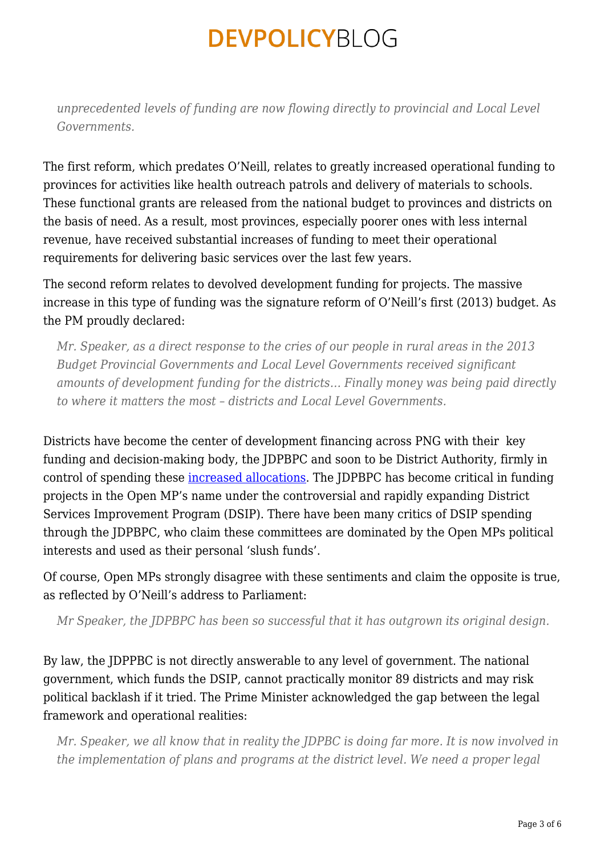*unprecedented levels of funding are now flowing directly to provincial and Local Level Governments.*

The first reform, which predates O'Neill, relates to greatly increased operational funding to provinces for activities like health outreach patrols and delivery of materials to schools. These functional grants are released from the national budget to provinces and districts on the basis of need. As a result, most provinces, especially poorer ones with less internal revenue, have received substantial increases of funding to meet their operational requirements for delivering basic services over the last few years.

The second reform relates to devolved development funding for projects. The massive increase in this type of funding was the signature reform of O'Neill's first (2013) budget. As the PM proudly declared:

*Mr. Speaker, as a direct response to the cries of our people in rural areas in the 2013 Budget Provincial Governments and Local Level Governments received significant amounts of development funding for the districts… Finally money was being paid directly to where it matters the most – districts and Local Level Governments.*

Districts have become the center of development financing across PNG with their key funding and decision-making body, the JDPBPC and soon to be District Authority, firmly in control of spending these [increased allocations](https://devpolicy.org/reflections-on-the-png-budget-forum-can-devolved-funding-be-effectively-utilised-2013040/). The JDPBPC has become critical in funding projects in the Open MP's name under the controversial and rapidly expanding District Services Improvement Program (DSIP). There have been many critics of DSIP spending through the JDPBPC, who claim these committees are dominated by the Open MPs political interests and used as their personal 'slush funds'.

Of course, Open MPs strongly disagree with these sentiments and claim the opposite is true, as reflected by O'Neill's address to Parliament:

*Mr Speaker, the JDPBPC has been so successful that it has outgrown its original design.*

By law, the JDPPBC is not directly answerable to any level of government. The national government, which funds the DSIP, cannot practically monitor 89 districts and may risk political backlash if it tried. The Prime Minister acknowledged the gap between the legal framework and operational realities:

*Mr. Speaker, we all know that in reality the JDPBC is doing far more. It is now involved in the implementation of plans and programs at the district level. We need a proper legal*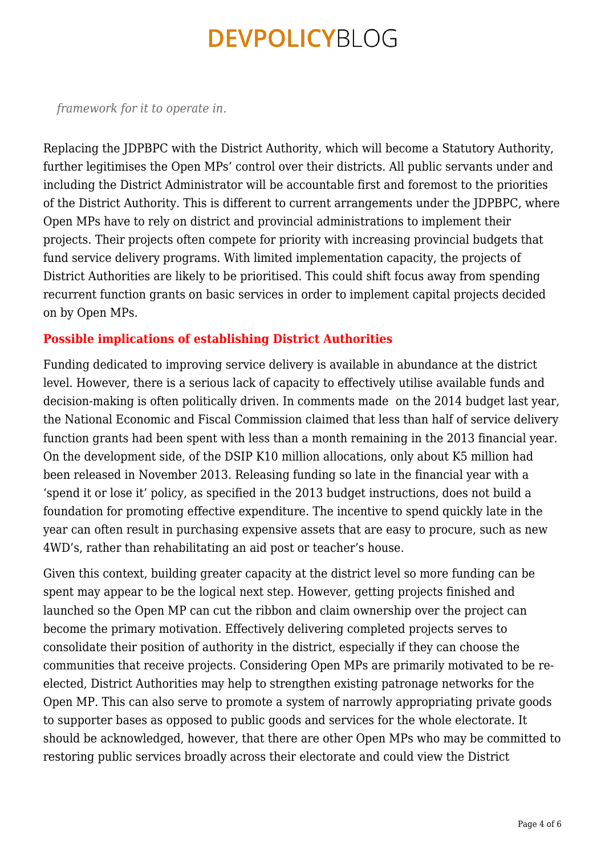*framework for it to operate in.*

Replacing the JDPBPC with the District Authority, which will become a Statutory Authority, further legitimises the Open MPs' control over their districts. All public servants under and including the District Administrator will be accountable first and foremost to the priorities of the District Authority. This is different to current arrangements under the JDPBPC, where Open MPs have to rely on district and provincial administrations to implement their projects. Their projects often compete for priority with increasing provincial budgets that fund service delivery programs. With limited implementation capacity, the projects of District Authorities are likely to be prioritised. This could shift focus away from spending recurrent function grants on basic services in order to implement capital projects decided on by Open MPs.

#### **Possible implications of establishing District Authorities**

Funding dedicated to improving service delivery is available in abundance at the district level. However, there is a serious lack of capacity to effectively utilise available funds and decision-making is often politically driven. In comments made on the 2014 budget last year, the National Economic and Fiscal Commission claimed that less than half of service delivery function grants had been spent with less than a month remaining in the 2013 financial year. On the development side, of the DSIP K10 million allocations, only about K5 million had been released in November 2013. Releasing funding so late in the financial year with a 'spend it or lose it' policy, as specified in the 2013 budget instructions, does not build a foundation for promoting effective expenditure. The incentive to spend quickly late in the year can often result in purchasing expensive assets that are easy to procure, such as new 4WD's, rather than rehabilitating an aid post or teacher's house.

Given this context, building greater capacity at the district level so more funding can be spent may appear to be the logical next step. However, getting projects finished and launched so the Open MP can cut the ribbon and claim ownership over the project can become the primary motivation. Effectively delivering completed projects serves to consolidate their position of authority in the district, especially if they can choose the communities that receive projects. Considering Open MPs are primarily motivated to be reelected, District Authorities may help to strengthen existing patronage networks for the Open MP. This can also serve to promote a system of narrowly appropriating private goods to supporter bases as opposed to public goods and services for the whole electorate. It should be acknowledged, however, that there are other Open MPs who may be committed to restoring public services broadly across their electorate and could view the District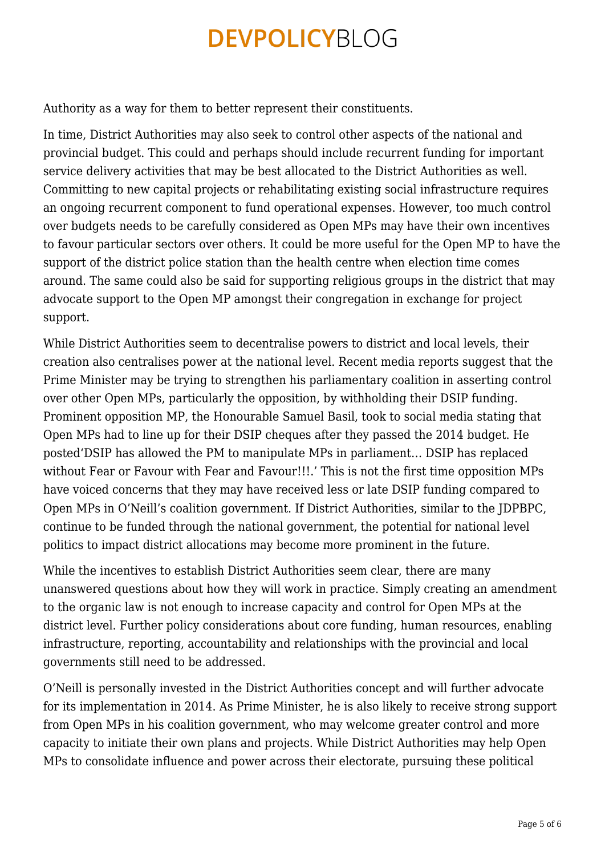Authority as a way for them to better represent their constituents.

In time, District Authorities may also seek to control other aspects of the national and provincial budget. This could and perhaps should include recurrent funding for important service delivery activities that may be best allocated to the District Authorities as well. Committing to new capital projects or rehabilitating existing social infrastructure requires an ongoing recurrent component to fund operational expenses. However, too much control over budgets needs to be carefully considered as Open MPs may have their own incentives to favour particular sectors over others. It could be more useful for the Open MP to have the support of the district police station than the health centre when election time comes around. The same could also be said for supporting religious groups in the district that may advocate support to the Open MP amongst their congregation in exchange for project support.

While District Authorities seem to decentralise powers to district and local levels, their creation also centralises power at the national level. Recent media reports suggest that the Prime Minister may be trying to strengthen his parliamentary coalition in asserting control over other Open MPs, particularly the opposition, by withholding their DSIP funding. Prominent opposition MP, the Honourable Samuel Basil, took to social media stating that Open MPs had to line up for their DSIP cheques after they passed the 2014 budget. He posted'DSIP has allowed the PM to manipulate MPs in parliament… DSIP has replaced without Fear or Favour with Fear and Favour!!!.' This is not the first time opposition MPs have voiced concerns that they may have received less or late DSIP funding compared to Open MPs in O'Neill's coalition government. If District Authorities, similar to the JDPBPC, continue to be funded through the national government, the potential for national level politics to impact district allocations may become more prominent in the future.

While the incentives to establish District Authorities seem clear, there are many unanswered questions about how they will work in practice. Simply creating an amendment to the organic law is not enough to increase capacity and control for Open MPs at the district level. Further policy considerations about core funding, human resources, enabling infrastructure, reporting, accountability and relationships with the provincial and local governments still need to be addressed.

O'Neill is personally invested in the District Authorities concept and will further advocate for its implementation in 2014. As Prime Minister, he is also likely to receive strong support from Open MPs in his coalition government, who may welcome greater control and more capacity to initiate their own plans and projects. While District Authorities may help Open MPs to consolidate influence and power across their electorate, pursuing these political